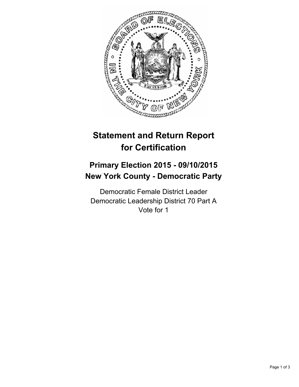

# **Statement and Return Report for Certification**

## **Primary Election 2015 - 09/10/2015 New York County - Democratic Party**

Democratic Female District Leader Democratic Leadership District 70 Part A Vote for 1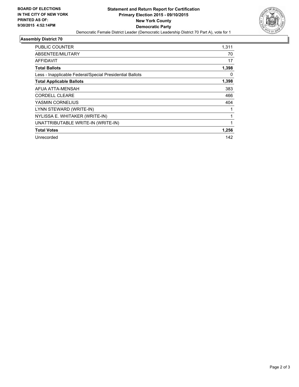

## **Assembly District 70**

| <b>PUBLIC COUNTER</b>                                    | 1,311 |
|----------------------------------------------------------|-------|
| ABSENTEE/MILITARY                                        | 70    |
| <b>AFFIDAVIT</b>                                         | 17    |
| <b>Total Ballots</b>                                     | 1,398 |
| Less - Inapplicable Federal/Special Presidential Ballots | 0     |
| <b>Total Applicable Ballots</b>                          | 1,398 |
| AFUA ATTA-MENSAH                                         | 383   |
| <b>CORDELL CLEARE</b>                                    | 466   |
| YASMIN CORNELIUS                                         | 404   |
| LYNN STEWARD (WRITE-IN)                                  |       |
| NYLISSA E. WHITAKER (WRITE-IN)                           |       |
| UNATTRIBUTABLE WRITE-IN (WRITE-IN)                       | 1     |
| <b>Total Votes</b>                                       | 1,256 |
| Unrecorded                                               | 142   |